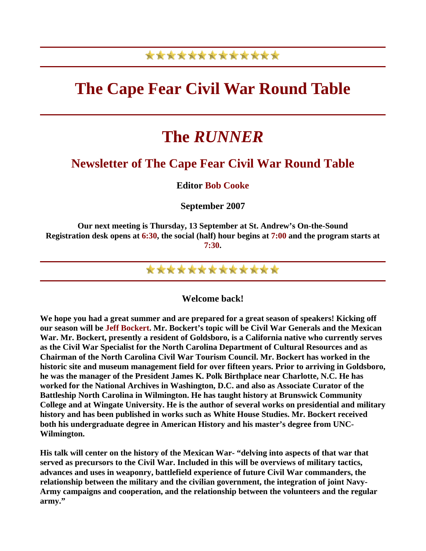## \*\*\*\*\*\*\*\*\*\*\*\*\*

## **The Cape Fear Civil War Round Table**

# **The** *RUNNER*

### **Newsletter of The Cape Fear Civil War Round Table**

**Editor Bob Cooke** 

**September 2007** 

**Our next meeting is Thursday, 13 September at St. Andrew's On-the-Sound Registration desk opens at 6:30, the social (half) hour begins at 7:00 and the program starts at 7:30.** 



**Welcome back!** 

**We hope you had a great summer and are prepared for a great season of speakers! Kicking off our season will be Jeff Bockert. Mr. Bockert's topic will be Civil War Generals and the Mexican War. Mr. Bockert, presently a resident of Goldsboro, is a California native who currently serves as the Civil War Specialist for the North Carolina Department of Cultural Resources and as Chairman of the North Carolina Civil War Tourism Council. Mr. Bockert has worked in the historic site and museum management field for over fifteen years. Prior to arriving in Goldsboro, he was the manager of the President James K. Polk Birthplace near Charlotte, N.C. He has worked for the National Archives in Washington, D.C. and also as Associate Curator of the Battleship North Carolina in Wilmington. He has taught history at Brunswick Community College and at Wingate University. He is the author of several works on presidential and military history and has been published in works such as White House Studies. Mr. Bockert received both his undergraduate degree in American History and his master's degree from UNC-Wilmington.** 

**His talk will center on the history of the Mexican War- "delving into aspects of that war that served as precursors to the Civil War. Included in this will be overviews of military tactics, advances and uses in weaponry, battlefield experience of future Civil War commanders, the relationship between the military and the civilian government, the integration of joint Navy-Army campaigns and cooperation, and the relationship between the volunteers and the regular army."**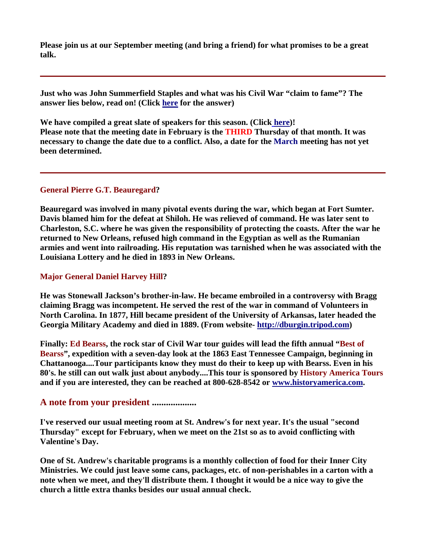**Please join us at our September meeting (and bring a friend) for what promises to be a great talk.** 

**Just who was John Summerfield Staples and what was his Civil War "claim to fame"? The answer lies below, read on! (Click here for the answer)** 

**We have compiled a great slate of speakers for this season. (Click here)! Please note that the meeting date in February is the THIRD Thursday of that month. It was necessary to change the date due to a conflict. Also, a date for the March meeting has not yet been determined.** 

#### **General Pierre G.T. Beauregard?**

**Beauregard was involved in many pivotal events during the war, which began at Fort Sumter. Davis blamed him for the defeat at Shiloh. He was relieved of command. He was later sent to Charleston, S.C. where he was given the responsibility of protecting the coasts. After the war he returned to New Orleans, refused high command in the Egyptian as well as the Rumanian armies and went into railroading. His reputation was tarnished when he was associated with the Louisiana Lottery and he died in 1893 in New Orleans.** 

#### **Major General Daniel Harvey Hill?**

**He was Stonewall Jackson's brother-in-law. He became embroiled in a controversy with Bragg claiming Bragg was incompetent. He served the rest of the war in command of Volunteers in North Carolina. In 1877, Hill became president of the University of Arkansas, later headed the Georgia Military Academy and died in 1889. (From website- [http://dburgin.tripod.com](http://dburgin.tripod.com/))** 

**Finally: Ed Bearss, the rock star of Civil War tour guides will lead the fifth annual "Best of Bearss", expedition with a seven-day look at the 1863 East Tennessee Campaign, beginning in Chattanooga....Tour participants know they must do their to keep up with Bearss. Even in his 80's. he still can out walk just about anybody....This tour is sponsored by History America Tours and if you are interested, they can be reached at 800-628-8542 or [www.historyamerica.com.](http://www.historyamerica.com/)** 

### **A note from your president ...................**

**I've reserved our usual meeting room at St. Andrew's for next year. It's the usual "second Thursday" except for February, when we meet on the 21st so as to avoid conflicting with Valentine's Day.** 

**One of St. Andrew's charitable programs is a monthly collection of food for their Inner City Ministries. We could just leave some cans, packages, etc. of non-perishables in a carton with a note when we meet, and they'll distribute them. I thought it would be a nice way to give the church a little extra thanks besides our usual annual check.**